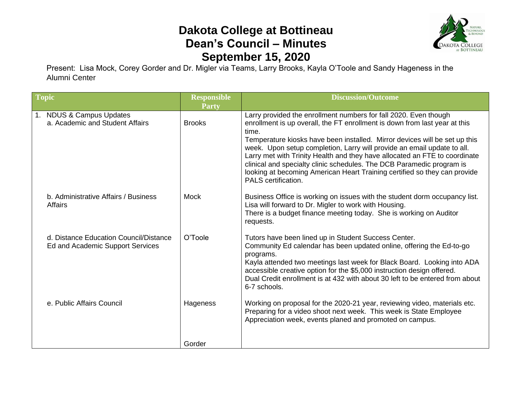## **Dakota College at Bottineau Dean's Council – Minutes September 15, 2020**



Present: Lisa Mock, Corey Gorder and Dr. Migler via Teams, Larry Brooks, Kayla O'Toole and Sandy Hageness in the Alumni Center

| <b>Topic</b>                                                               | <b>Responsible</b><br><b>Party</b> | <b>Discussion/Outcome</b>                                                                                                                                                                                                                                                                                                                                                                                                                                                                                                                                                   |
|----------------------------------------------------------------------------|------------------------------------|-----------------------------------------------------------------------------------------------------------------------------------------------------------------------------------------------------------------------------------------------------------------------------------------------------------------------------------------------------------------------------------------------------------------------------------------------------------------------------------------------------------------------------------------------------------------------------|
| <b>NDUS &amp; Campus Updates</b><br>a. Academic and Student Affairs        | <b>Brooks</b>                      | Larry provided the enrollment numbers for fall 2020. Even though<br>enrollment is up overall, the FT enrollment is down from last year at this<br>time.<br>Temperature kiosks have been installed. Mirror devices will be set up this<br>week. Upon setup completion, Larry will provide an email update to all.<br>Larry met with Trinity Health and they have allocated an FTE to coordinate<br>clinical and specialty clinic schedules. The DCB Paramedic program is<br>looking at becoming American Heart Training certified so they can provide<br>PALS certification. |
| b. Administrative Affairs / Business<br><b>Affairs</b>                     | <b>Mock</b>                        | Business Office is working on issues with the student dorm occupancy list.<br>Lisa will forward to Dr. Migler to work with Housing.<br>There is a budget finance meeting today. She is working on Auditor<br>requests.                                                                                                                                                                                                                                                                                                                                                      |
| d. Distance Education Council/Distance<br>Ed and Academic Support Services | O'Toole                            | Tutors have been lined up in Student Success Center.<br>Community Ed calendar has been updated online, offering the Ed-to-go<br>programs.<br>Kayla attended two meetings last week for Black Board. Looking into ADA<br>accessible creative option for the \$5,000 instruction design offered.<br>Dual Credit enrollment is at 432 with about 30 left to be entered from about<br>6-7 schools.                                                                                                                                                                              |
| e. Public Affairs Council                                                  | Hageness                           | Working on proposal for the 2020-21 year, reviewing video, materials etc.<br>Preparing for a video shoot next week. This week is State Employee<br>Appreciation week, events planed and promoted on campus.                                                                                                                                                                                                                                                                                                                                                                 |
|                                                                            | Gorder                             |                                                                                                                                                                                                                                                                                                                                                                                                                                                                                                                                                                             |